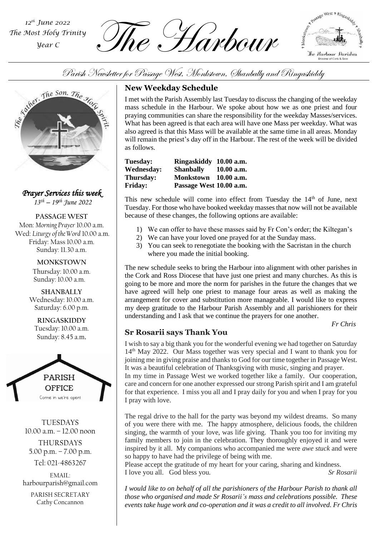*The Most Holy Trinity Year C*

 $\sum_{\text{Most Holy Trinity}}$   $\widehat{The}$   $\widehat{The}$   $\widehat{H}$   $\widehat{The}$   $\widehat{H}$   $\widehat{The}$   $\widehat{H}$ 





*Prayer Services this week 13th – 19 th June 2022*

**PASSAGE WEST** Mon: *Morning Prayer* 10.00 a.m. Wed: *Liturgy of the Word* 10.00 a.m. Friday: Mass 10.00 a.m. Sunday: 11.30 a.m.

> **MONKSTOWN** Thursday: 10.00 a.m. Sunday: 10.00 a.m.

**SHANBALLY** Wednesday: 10.00 a.m. Saturday: 6.00 p.m.

**RINGASKIDDY** Tuesday: 10.00 a.m. Sunday: 8.45 a.m.



**TUESDAYS** 10.00 a.m. – 12.00 noon THURSDAYS 5.00 p.m. – 7.00 p.m. Tel: 021-4863267

EMAIL: harbourparish@gmail.com

PARISH SECRETARY Cathy Concannon

# **New Weekday Schedule**

Parish Newsletter for Passage West, Monkstown, Chanbally and Ringaskiddy<br>
New Weekday Schedule<br>
I met with the Parish Assembly last Tuesday to discuss the changing of t<br>
mass schedule in the Harbour. We spoke about how we I met with the Parish Assembly last Tuesday to discuss the changing of the weekday mass schedule in the Harbour. We spoke about how we as one priest and four praying communities can share the responsibility for the weekday Masses/services. What has been agreed is that each area will have one Mass per weekday. What was also agreed is that this Mass will be available at the same time in all areas. Monday will remain the priest's day off in the Harbour. The rest of the week will be divided as follows.

| <b>Tuesday:</b> | Ringaskiddy 10.00 a.m.  |            |
|-----------------|-------------------------|------------|
| Wednesday:      | <b>Shanbally</b>        | 10.00 a.m. |
| Thursday:       | <b>Monkstown</b>        | 10.00 a.m. |
| <b>Friday:</b>  | Passage West 10.00 a.m. |            |

This new schedule will come into effect from Tuesday the  $14<sup>th</sup>$  of June, next Tuesday. For those who have booked weekday masses that now will not be available because of these changes, the following options are available:

- 1) We can offer to have these masses said by Fr Con's order; the Kiltegan's
- 2) We can have your loved one prayed for at the Sunday mass.
- 3) You can seek to renegotiate the booking with the Sacristan in the church where you made the initial booking.

*Parish Assembly* The new schedule seeks to bring the Harbour into alignment with other parishes in the Cork and Ross Diocese that have just one priest and many churches. As this is going to be more and more the norm for parishes in the future the changes that we have agreed will help one priest to manage four areas as well as making the arrangement for cover and substitution more manageable. I would like to express my deep gratitude to the Harbour Parish Assembly and all parishioners for their understanding and I ask that we continue the prayers for one another.

*Fr Chris*

# **Sr Rosarii says Thank You**

I wish to say a big thank you for the wonderful evening we had together on Saturday 14th May 2022. Our Mass together was very special and I want to thank you for joining me in giving praise and thanks to God for our time together in Passage West. It was a beautiful celebration of Thanksgiving with music, singing and prayer.

In my time in Passage West we worked together like a family. Our cooperation, care and concern for one another expressed our strong Parish spirit and I am grateful for that experience. I miss you all and I pray daily for you and when I pray for you I pray with love.

The regal drive to the hall for the party was beyond my wildest dreams. So many of you were there with me. The happy atmosphere, delicious foods, the children singing, the warmth of your love, was life giving. Thank you too for inviting my family members to join in the celebration. They thoroughly enjoyed it and were inspired by it all. My companions who accompanied me were *awe stuck* and were so happy to have had the privilege of being with me.

Please accept the gratitude of my heart for your caring, sharing and kindness. I love you all. God bless you*. Sr Rosarii*

*I would like to on behalf of all the parishioners of the Harbour Parish to thank all those who organised and made Sr Rosarii's mass and celebrations possible. These events take huge work and co-operation and it was a credit to all involved. Fr Chris*